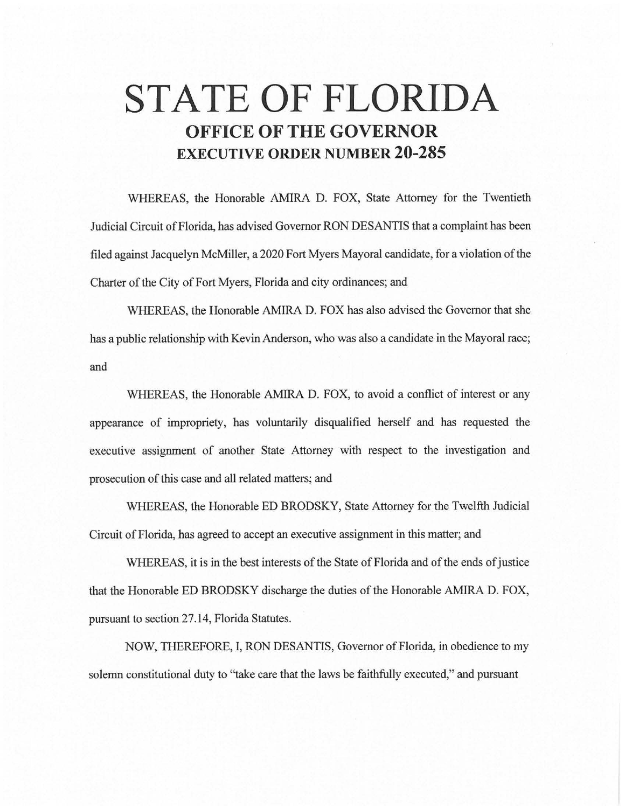## **STATE OF FLORIDA OFFICE OF THE GOVERNOR EXECUTIVE ORDER NUMBER 20-285**

WHEREAS, the Honorable AMIRA D. FOX, State Attorney for the Twentieth Judicial Circuit of Florida, has advised Governor RON DESANTIS that a complaint has been filed against Jacquelyn McMiller, a 2020 Fort Myers Mayoral candidate, for a violation of the Charter of the City of Fort Myers, Florida and city ordinances; and

WHEREAS, the Honorable AMIRA D. FOX has also advised the Governor that she has a public relationship with Kevin Anderson, who was also a candidate in the Mayoral race; and

WHEREAS, the Honorable AMIRA D. FOX, to avoid a conflict of interest or any appearance of impropriety, has voluntarily disqualified herself and has requested the executive assignment of another State Attorney with respect to the investigation and prosecution of this case and all related matters; and

WHEREAS, the Honorable ED BRODSKY, State Attorney for the Twelfth Judicial Circuit of Florida, has agreed to accept an executive assignment in this matter; and

WHEREAS, it is in the best interests of the State of Florida and of the ends of justice that the Honorable ED BRODSKY discharge the duties of the Honorable AMIRA D. FOX, pursuant to section 27 .14, Florida Statutes.

NOW, THEREFORE, I, RON DESANTIS, Governor of Florida, in obedience to my solemn constitutional duty to "take care that the laws be faithfully executed," and pursuant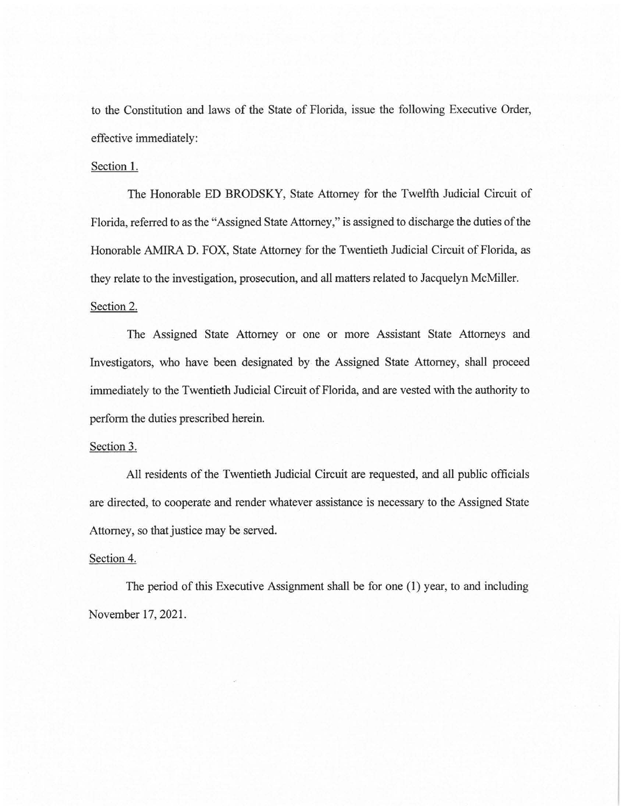to the Constitution and laws of the State of Florida, issue the following Executive Order, effective immediately:

## Section I.

The Honorable ED BRODSKY, State Attorney for the Twelfth Judicial Circuit of Florida, referred to as the "Assigned State Attorney," is assigned to discharge the duties of the Honorable AMIRA D. FOX, State Attorney for the Twentieth Judicial Circuit of Florida, as they relate to the investigation, prosecution, and all matters related to Jacquelyn McMiller. Section 2.

The Assigned State Attorney or one or more Assistant State Attorneys and Investigators, who have been designated by the Assigned State Attorney, shall proceed immediately to the Twentieth Judicial Circuit of Florida, and are vested with the authority to perform the duties prescribed herein.

## Section 3.

All residents of the Twentieth Judicial Circuit are requested, and all public officials are directed, to cooperate and render whatever assistance is necessary to the Assigned State Attorney, so that justice may be served.

## Section 4.

The period of this Executive Assignment shall be for one (I) year, to and including November 17, 2021.